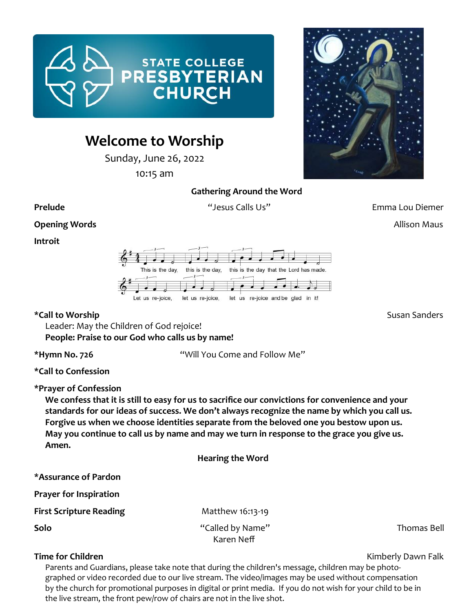

# **Welcome to Worship**

Sunday, June 26, 2022

10:15 am



**Gathering Around the Word**

**Prelude** "Jesus Calls Us" Emma Lou Diemer

**Opening Words Allison Maus** 

**Introit** 



\*Call to Worship **\*Call to Worship Susan Sanders** 

Leader: May the Children of God rejoice! **People: Praise to our God who calls us by name!**

**\*Hymn No. 726** "Will You Come and Follow Me"

**\*Call to Confession**

**\*Prayer of Confession**

**We confess that it is still to easy for us to sacrifice our convictions for convenience and your standards for our ideas of success. We don't always recognize the name by which you call us. Forgive us when we choose identities separate from the beloved one you bestow upon us. May you continue to call us by name and may we turn in response to the grace you give us. Amen.** 

| <b>Hearing the Word</b>        |             |
|--------------------------------|-------------|
|                                |             |
|                                |             |
| Matthew 16:13-19               |             |
| "Called by Name"<br>Karen Neff | Thomas Bell |
|                                |             |

**Time for Children Kimberly Dawn Falk** 

Parents and Guardians, please take note that during the children's message, children may be photographed or video recorded due to our live stream. The video/images may be used without compensation by the church for promotional purposes in digital or print media. If you do not wish for your child to be in the live stream, the front pew/row of chairs are not in the live shot.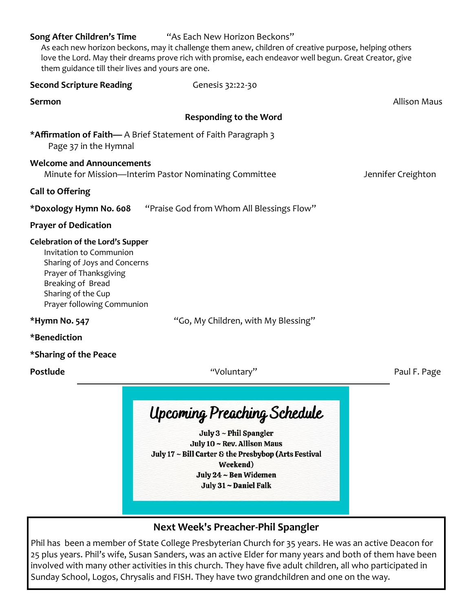| Song After Children's Time<br>them guidance till their lives and yours are one.                                                                                                                       | "As Each New Horizon Beckons"<br>As each new horizon beckons, may it challenge them anew, children of creative purpose, helping others<br>love the Lord. May their dreams prove rich with promise, each endeavor well begun. Great Creator, give |                     |
|-------------------------------------------------------------------------------------------------------------------------------------------------------------------------------------------------------|--------------------------------------------------------------------------------------------------------------------------------------------------------------------------------------------------------------------------------------------------|---------------------|
| <b>Second Scripture Reading</b>                                                                                                                                                                       | Genesis 32:22-30                                                                                                                                                                                                                                 |                     |
| <b>Sermon</b>                                                                                                                                                                                         |                                                                                                                                                                                                                                                  | <b>Allison Maus</b> |
|                                                                                                                                                                                                       | <b>Responding to the Word</b>                                                                                                                                                                                                                    |                     |
| Page 37 in the Hymnal                                                                                                                                                                                 | *Affirmation of Faith- A Brief Statement of Faith Paragraph 3                                                                                                                                                                                    |                     |
| <b>Welcome and Announcements</b>                                                                                                                                                                      | Minute for Mission-Interim Pastor Nominating Committee                                                                                                                                                                                           | Jennifer Creighton  |
| <b>Call to Offering</b>                                                                                                                                                                               |                                                                                                                                                                                                                                                  |                     |
| *Doxology Hymn No. 608                                                                                                                                                                                | "Praise God from Whom All Blessings Flow"                                                                                                                                                                                                        |                     |
| <b>Prayer of Dedication</b>                                                                                                                                                                           |                                                                                                                                                                                                                                                  |                     |
| <b>Celebration of the Lord's Supper</b><br>Invitation to Communion<br>Sharing of Joys and Concerns<br>Prayer of Thanksgiving<br>Breaking of Bread<br>Sharing of the Cup<br>Prayer following Communion |                                                                                                                                                                                                                                                  |                     |
| *Hymn No. 547                                                                                                                                                                                         | "Go, My Children, with My Blessing"                                                                                                                                                                                                              |                     |
| *Benediction                                                                                                                                                                                          |                                                                                                                                                                                                                                                  |                     |
| *Sharing of the Peace                                                                                                                                                                                 |                                                                                                                                                                                                                                                  |                     |
| Postlude                                                                                                                                                                                              | "Voluntary"                                                                                                                                                                                                                                      | Paul F. Page        |
|                                                                                                                                                                                                       | <b>Upcoming Preaching Schedule</b><br>July 3 ~ Phil Spangler<br>July 10 ~ Rev. Allison Maus<br>July 17 ~ Bill Carter & the Presbybop (Arts Festival                                                                                              |                     |

Weekend)

July 24 ~ Ben Widemen

July 31 ~ Daniel Falk

# **Next Week's Preacher-Phil Spangler**

Phil has been a member of State College Presbyterian Church for 35 years. He was an active Deacon for 25 plus years. Phil's wife, Susan Sanders, was an active Elder for many years and both of them have been involved with many other activities in this church. They have five adult children, all who participated in Sunday School, Logos, Chrysalis and FISH. They have two grandchildren and one on the way.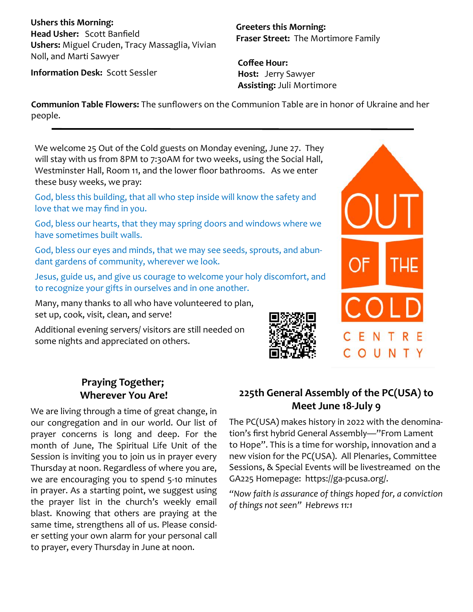**Ushers this Morning: Head Usher:** Scott Banfield **Ushers:** Miguel Cruden, Tracy Massaglia, Vivian Noll, and Marti Sawyer

**Greeters this Morning: Fraser Street:** The Mortimore Family

**Information Desk:** Scott Sessler

**Coffee Hour: Host:** Jerry Sawyer **Assisting:** Juli Mortimore

**Communion Table Flowers:** The sunflowers on the Communion Table are in honor of Ukraine and her people.

We welcome 25 Out of the Cold guests on Monday evening, June 27. They will stay with us from 8PM to 7:30AM for two weeks, using the Social Hall, Westminster Hall, Room 11, and the lower floor bathrooms. As we enter these busy weeks, we pray:

God, bless this building, that all who step inside will know the safety and love that we may find in you.

God, bless our hearts, that they may spring doors and windows where we have sometimes built walls.

God, bless our eyes and minds, that we may see seeds, sprouts, and abundant gardens of community, wherever we look.

Jesus, guide us, and give us courage to welcome your holy discomfort, and to recognize your gifts in ourselves and in one another.

Many, many thanks to all who have volunteered to plan, set up, cook, visit, clean, and serve!

Additional evening servers/ visitors are still needed on some nights and appreciated on others.



# **Praying Together; Wherever You Are!**

We are living through a time of great change, in our congregation and in our world. Our list of prayer concerns is long and deep. For the month of June, The Spiritual Life Unit of the Session is inviting you to join us in prayer every Thursday at noon. Regardless of where you are, we are encouraging you to spend 5-10 minutes in prayer. As a starting point, we suggest using the prayer list in the church's weekly email blast. Knowing that others are praying at the same time, strengthens all of us. Please consider setting your own alarm for your personal call to prayer, every Thursday in June at noon.

# **225th General Assembly of the PC(USA) to Meet June 18-July 9**

The PC(USA) makes history in 2022 with the denomination's first hybrid General Assembly—"From Lament to Hope". This is a time for worship, innovation and a new vision for the PC(USA). All Plenaries, Committee Sessions, & Special Events will be livestreamed on the GA225 Homepage: https://ga-pcusa.org/.

*"Now faith is assurance of things hoped for, a conviction of things not seen" Hebrews 11:1*